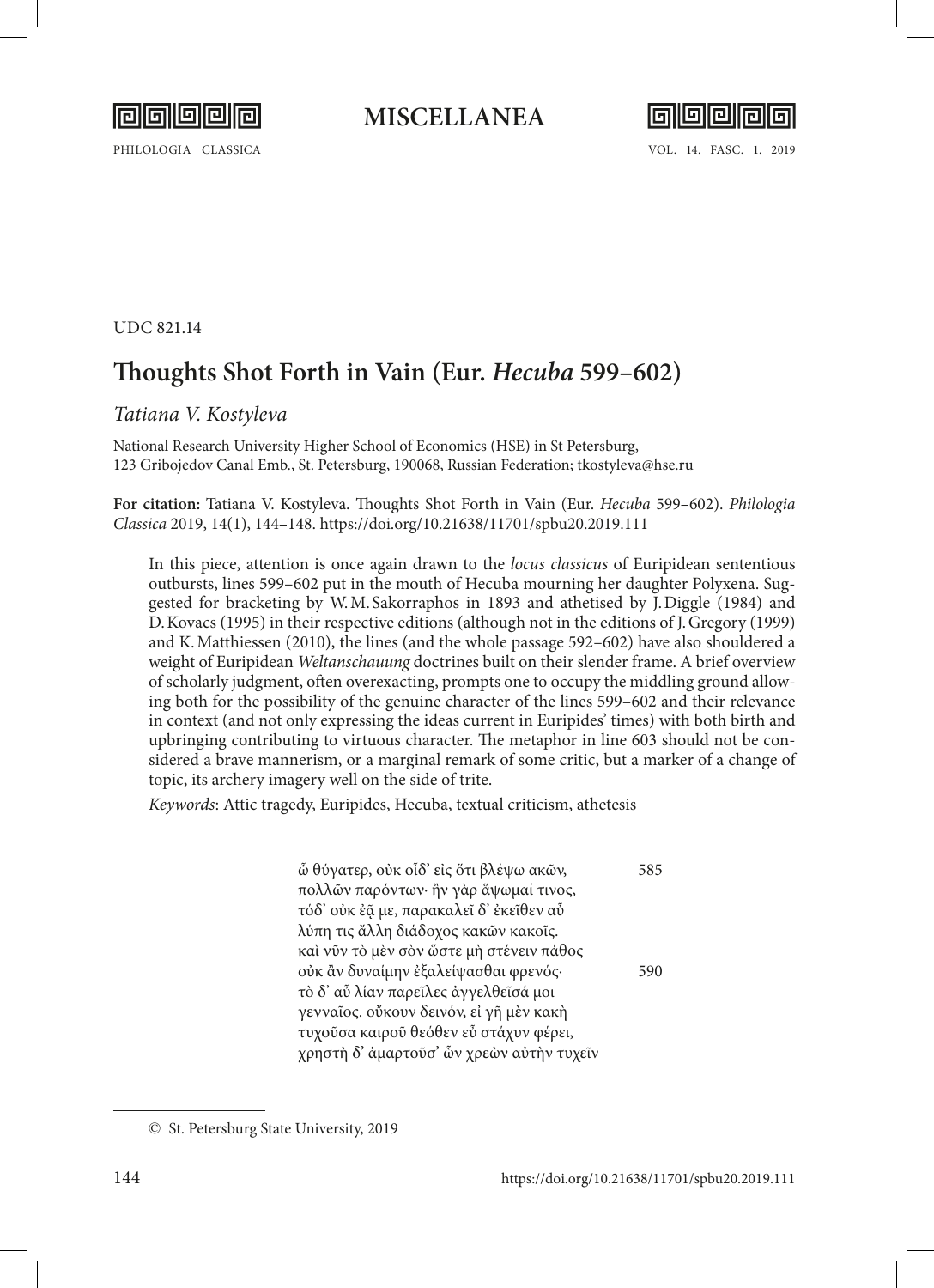

## **MISCELLANEA**



PHILOLOGIA CLASSICA VOL. 14. FASC. 1. 2019

### UDC 821.14

# **Thoughts Shot Forth in Vain (Eur.** *Hecuba* **599–602)**

## *Tatiana V. Kostyleva*

National Research University Higher School of Economics (HSE) in St Petersburg, 123 Gribojedov Сanal Emb., St. Petersburg, 190068, Russian Federation; tkostyleva@hse.ru

**For citation:** Tatiana V. Kostyleva. Thoughts Shot Forth in Vain (Eur. *Hecuba* 599–602). *Philologia Classica* 2019, 14(1), 144–148. <https://doi.org/10.21638/11701/spbu20.2019.111>

In this piece, attention is once again drawn to the *locus classicus* of Euripidean sententious outbursts, lines 599–602 put in the mouth of Hecuba mourning her daughter Polyxena. Suggested for bracketing by W.M. Sakorraphos in 1893 and athetised by J.Diggle (1984) and D.Kovacs (1995) in their respective editions (although not in the editions of J.Gregory (1999) and K.Matthiessen (2010), the lines (and the whole passage 592–602) have also shouldered a weight of Euripidean *Weltanschauung* doctrines built on their slender frame. A brief overview of scholarly judgment, often overexacting, prompts one to occupy the middling ground allowing both for the possibility of the genuine character of the lines 599–602 and their relevance in context (and not only expressing the ideas current in Euripides' times) with both birth and upbringing contributing to virtuous character. The metaphor in line 603 should not be considered a brave mannerism, or a marginal remark of some critic, but a marker of a change of topic, its archery imagery well on the side of trite.

*Keywords*: Attic tragedy, Euripides, Hecuba, textual criticism, athetesis

ὦ θύγατερ, οὐκ οἶδ' εἰς ὅτι βλέψω ακῶν, 585 πολλῶν παρόντων· ἢν γὰρ ἅψωμαί τινος, τόδ' οὐκ ἐᾷ με, παρακαλεῖ δ' ἐκεῖθεν αὖ λύπη τις ἄλλη διάδοχος κακῶν κακοῖς. καὶ νῦν τὸ μὲν σὸν ὥστε μὴ στένειν πάθος οὐκ ἂν δυναίμην ἐξαλείψασθαι φρενός· 590 τὸ δ' αὖ λίαν παρεῖλες ἀγγελθεῖσά μοι γενναῖος. οὔκουν δεινόν, εἰ γῆ μὲν κακὴ τυχοῦσα καιροῦ θεόθεν εὖ στάχυν φέρει, χρηστὴ δ' ἁμαρτοῦσ' ὧν χρεὼν αὐτὴν τυχεῖν

<sup>©</sup> St. Petersburg State University, 2019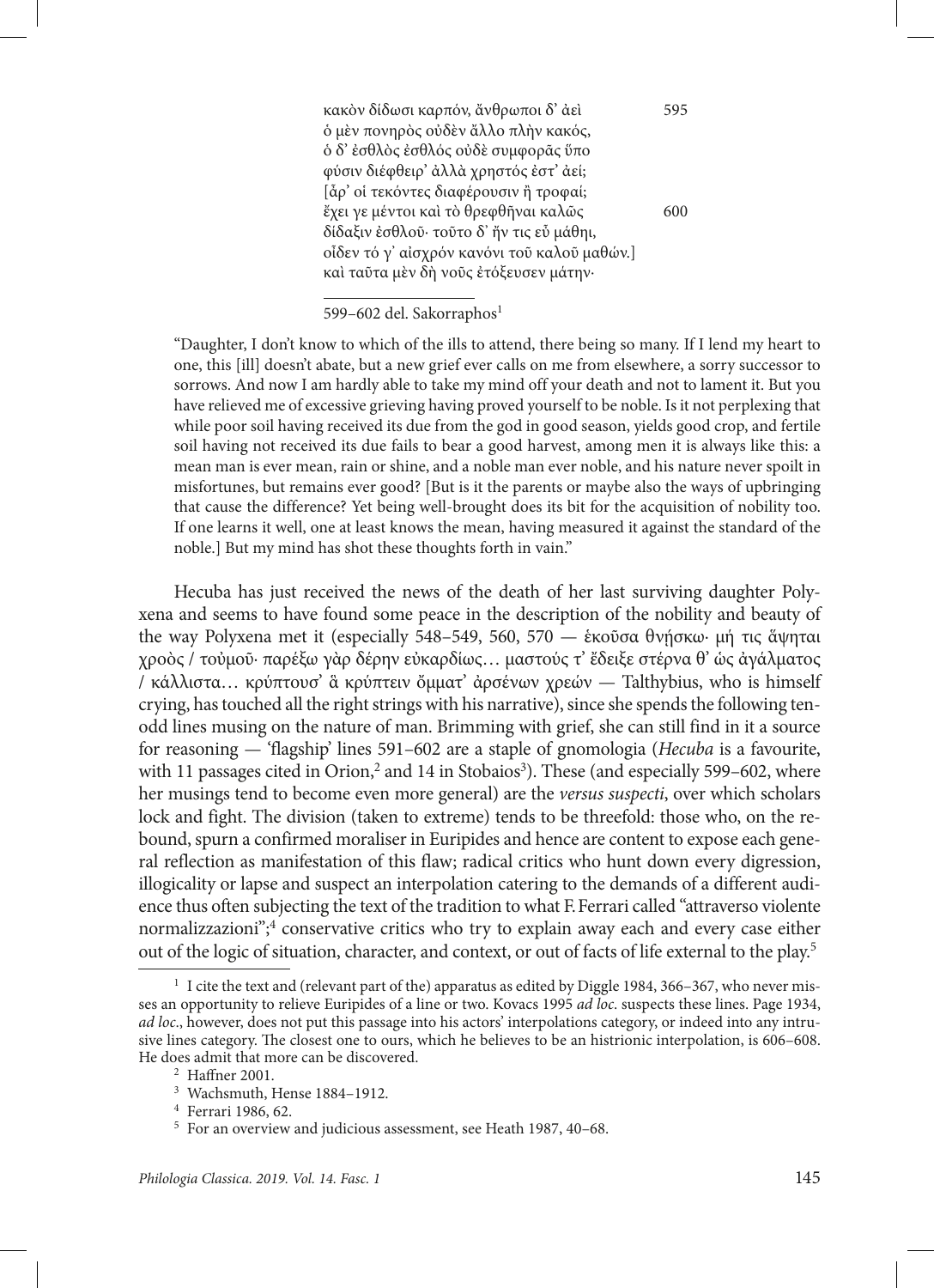κακὸν δίδωσι καρπόν, ἄνθρωποι δ' ἀεὶ 595 ὁ μὲν πονηρὸς οὐδὲν ἄλλο πλὴν κακός, ὁ δ' ἐσθλὸς ἐσθλός οὐδὲ συμφορᾶς ὕπο φύσιν διέφθειρ' ἀλλὰ χρηστός ἐστ' ἀεί; [ἆρ' οἱ τεκόντες διαφέρουσιν ἢ τροφαί; ἔχει γε μέντοι καὶ τὸ θρεφθῆναι καλῶς 600 δίδαξιν ἐσθλοῦ· τοῦτο δ' ἤν τις εὖ μάθηι, οἶδεν τό γ' αἰσχρόν κανόνι τοῦ καλοῦ μαθών.] καὶ ταῦτα μὲν δὴ νοῦς ἐτόξευσεν μάτην·

### 599-602 del. Sakorraphos<sup>1</sup>

"Daughter, I don't know to which of the ills to attend, there being so many. If I lend my heart to one, this [ill] doesn't abate, but a new grief ever calls on me from elsewhere, a sorry successor to sorrows. And now I am hardly able to take my mind off your death and not to lament it. But you have relieved me of excessive grieving having proved yourself to be noble. Is it not perplexing that while poor soil having received its due from the god in good season, yields good crop, and fertile soil having not received its due fails to bear a good harvest, among men it is always like this: a mean man is ever mean, rain or shine, and a noble man ever noble, and his nature never spoilt in misfortunes, but remains ever good? [But is it the parents or maybe also the ways of upbringing that cause the difference? Yet being well-brought does its bit for the acquisition of nobility too. If one learns it well, one at least knows the mean, having measured it against the standard of the noble.] But my mind has shot these thoughts forth in vain."

Hecuba has just received the news of the death of her last surviving daughter Polyxena and seems to have found some peace in the description of the nobility and beauty of the way Polyxena met it (especially 548–549, 560, 570 — ἑκοῦσα θνήσκω· μή τις ἅψηται χροὸς / τοὐμοῦ· παρέξω γὰρ δέρην εὐκαρδίως… μαστούς τ' ἔδειξε στέρνα θ' ὡς ἀγάλματος / κάλλιστα… κρύπτουσ' ἃ κρύπτειν ὄμματ' ἀρσένων χρεών — Talthybius, who is himself crying, has touched all the right strings with his narrative), since she spends the following tenodd lines musing on the nature of man. Brimming with grief, she can still find in it a source for reasoning — 'flagship' lines 591–602 are a staple of gnomologia (*Hecuba* is a favourite, with 11 passages cited in Orion,<sup>2</sup> and 14 in Stobaios<sup>3</sup>). These (and especially 599-602, where her musings tend to become even more general) are the *versus suspecti*, over which scholars lock and fight. The division (taken to extreme) tends to be threefold: those who, on the rebound, spurn a confirmed moraliser in Euripides and hence are content to expose each general reflection as manifestation of this flaw; radical critics who hunt down every digression, illogicality or lapse and suspect an interpolation catering to the demands of a different audience thus often subjecting the text of the tradition to what F.Ferrari called "attraverso violente normalizzazioni";<sup>4</sup> conservative critics who try to explain away each and every case either out of the logic of situation, character, and context, or out of facts of life external to the play.<sup>5</sup>

<sup>&</sup>lt;sup>1</sup> I cite the text and (relevant part of the) apparatus as edited by Diggle 1984, 366–367, who never misses an opportunity to relieve Euripides of a line or two. Kovacs 1995 *ad loc*. suspects these lines. Page 1934, *ad loc*., however, does not put this passage into his actors' interpolations category, or indeed into any intrusive lines category. The closest one to ours, which he believes to be an histrionic interpolation, is 606–608. He does admit that more can be discovered.

<sup>2</sup> Haffner 2001.

<sup>3</sup> Wachsmuth, Hense 1884–1912.

<sup>4</sup> Ferrari 1986, 62.

<sup>5</sup> For an overview and judicious assessment, see Heath 1987, 40–68.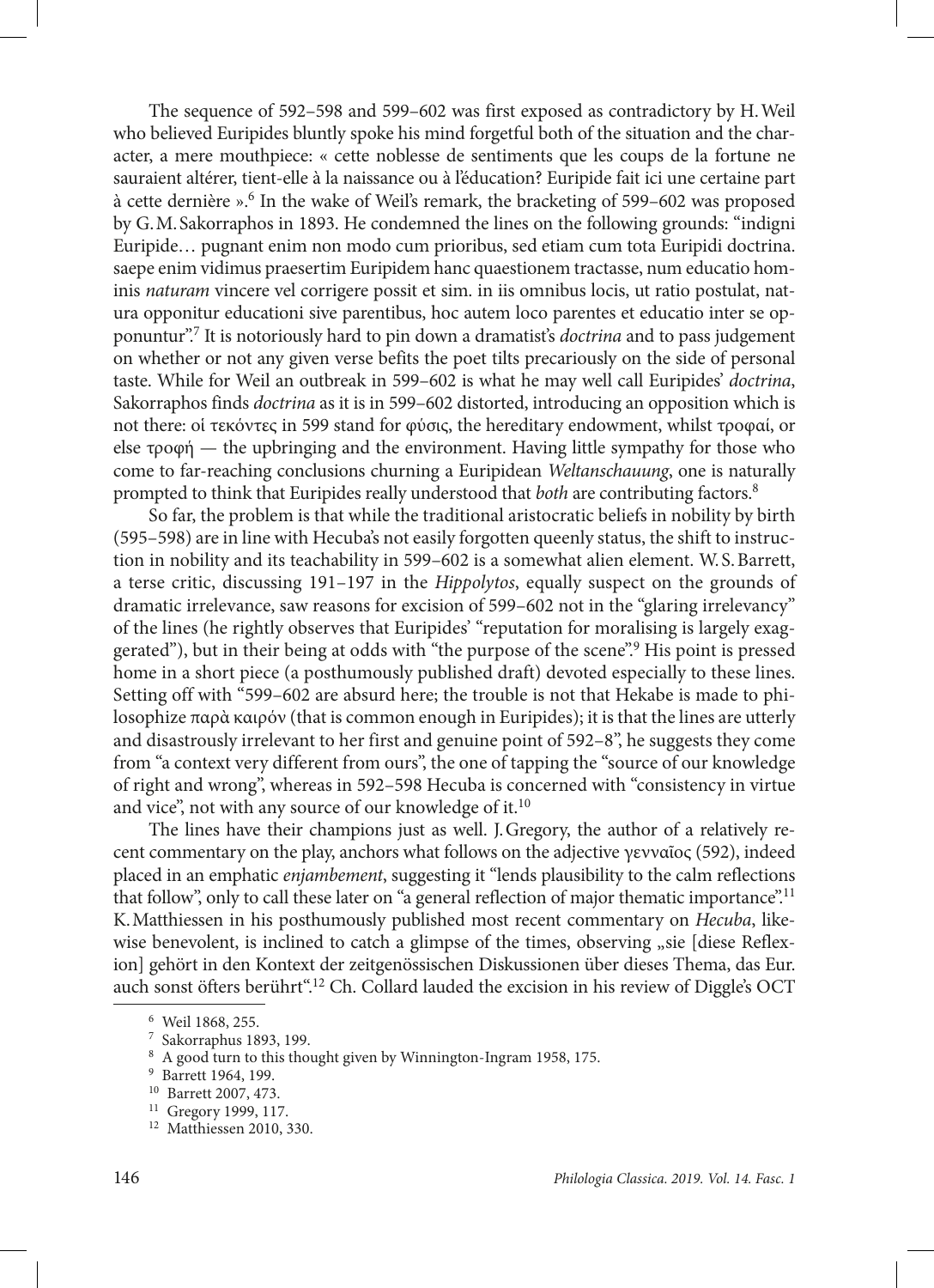The sequence of 592–598 and 599–602 was first exposed as contradictory by H.Weil who believed Euripides bluntly spoke his mind forgetful both of the situation and the character, a mere mouthpiece: « cette noblesse de sentiments que les coups de la fortune ne sauraient altérer, tient-elle à la naissance ou à l'éducation? Euripide fait ici une certaine part à cette dernière ». 6 In the wake of Weil's remark, the bracketing of 599–602 was proposed by G.M.Sakorraphos in 1893. He condemned the lines on the following grounds: "indigni Euripide… pugnant enim non modo cum prioribus, sed etiam cum tota Euripidi doctrina. saepe enim vidimus praesertim Euripidem hanc quaestionem tractasse, num educatio hominis *naturam* vincere vel corrigere possit et sim. in iis omnibus locis, ut ratio postulat, natura opponitur educationi sive parentibus, hoc autem loco parentes et educatio inter se opponuntur".7 It is notoriously hard to pin down a dramatist's *doctrina* and to pass judgement on whether or not any given verse befits the poet tilts precariously on the side of personal taste. While for Weil an outbreak in 599–602 is what he may well call Euripides' *doctrina*, Sakorraphos finds *doctrina* as it is in 599–602 distorted, introducing an opposition which is not there: οἱ τεκόντες in 599 stand for φύσις, the hereditary endowment, whilst τροφαί, or else τροφή — the upbringing and the environment. Having little sympathy for those who come to far-reaching conclusions churning a Euripidean *Weltanschauung*, one is naturally prompted to think that Euripides really understood that *both* are contributing factors.8

So far, the problem is that while the traditional aristocratic beliefs in nobility by birth (595–598) are in line with Hecuba's not easily forgotten queenly status, the shift to instruction in nobility and its teachability in 599–602 is a somewhat alien element. W. S. Barrett, a terse critic, discussing 191–197 in the *Hippolytos*, equally suspect on the grounds of dramatic irrelevance, saw reasons for excision of 599–602 not in the "glaring irrelevancy" of the lines (he rightly observes that Euripides' "reputation for moralising is largely exaggerated"), but in their being at odds with "the purpose of the scene".<sup>9</sup> His point is pressed home in a short piece (a posthumously published draft) devoted especially to these lines. Setting off with "599–602 are absurd here; the trouble is not that Hekabe is made to philosophize παρὰ καιρόν (that is common enough in Euripides); it is that the lines are utterly and disastrously irrelevant to her first and genuine point of 592–8", he suggests they come from "a context very different from ours", the one of tapping the "source of our knowledge of right and wrong", whereas in 592–598 Hecuba is concerned with "consistency in virtue and vice", not with any source of our knowledge of it.<sup>10</sup>

The lines have their champions just as well. J.Gregory, the author of a relatively recent commentary on the play, anchors what follows on the adjective γενναῖος (592), indeed placed in an emphatic *enjambement*, suggesting it "lends plausibility to the calm reflections that follow", only to call these later on "a general reflection of major thematic importance".11 K.Matthiessen in his posthumously published most recent commentary on *Hecuba*, likewise benevolent, is inclined to catch a glimpse of the times, observing "sie [diese Reflexion] gehört in den Kontext der zeitgenössischen Diskussionen über dieses Thema, das Eur. auch sonst öfters berührt".12 Ch. Collard lauded the excision in his review of Diggle's OCT

<sup>6</sup> Weil 1868, 255.

<sup>7</sup> Sakorraphus 1893, 199.

<sup>8</sup> A good turn to this thought given by Winnington-Ingram 1958, 175.

<sup>9</sup> Barrett 1964, 199.

<sup>10</sup> Barrett 2007, 473.

<sup>11</sup> Gregory 1999, 117.

<sup>12</sup> Matthiessen 2010, 330.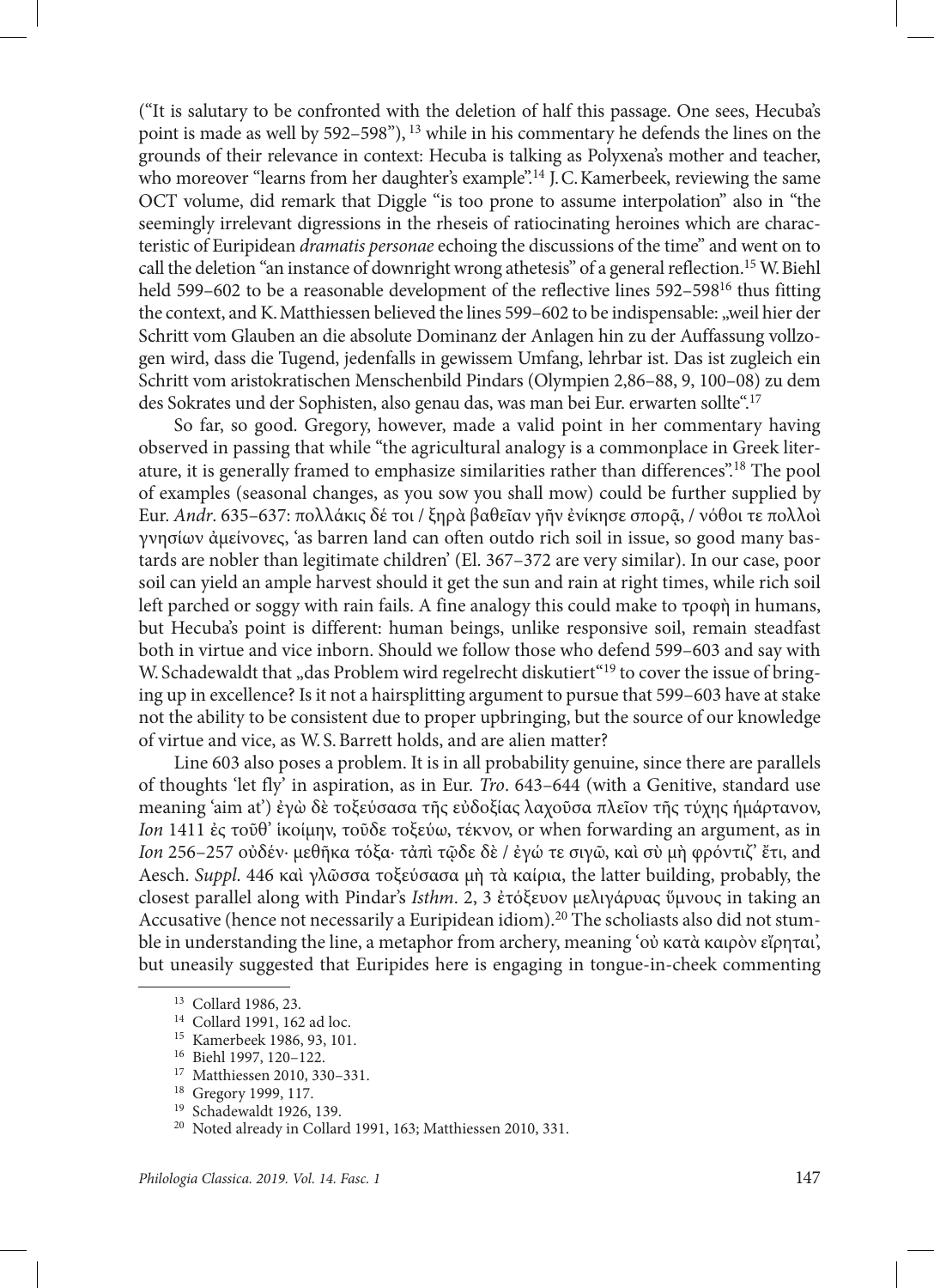("Ιt is salutary to be confronted with the deletion of half this passage. One sees, Hecuba's point is made as well by 592–598"), 13 while in his commentary he defends the lines on the grounds of their relevance in context: Hecuba is talking as Polyxena's mother and teacher, who moreover "learns from her daughter's example".<sup>14</sup> J.C. Kamerbeek, reviewing the same OCT volume, did remark that Diggle "is too prone to assume interpolation" also in "the seemingly irrelevant digressions in the rheseis of ratiocinating heroines which are characteristic of Euripidean *dramatis personae* echoing the discussions of the time" and went on to call the deletion "an instance of downright wrong athetesis" of a general reflection.<sup>15</sup> W. Biehl held 599–602 to be a reasonable development of the reflective lines 592–59816 thus fitting the context, and K. Matthiessen believed the lines 599–602 to be indispensable: "weil hier der Schritt vom Glauben an die absolute Dominanz der Anlagen hin zu der Auffassung vollzogen wird, dass die Tugend, jedenfalls in gewissem Umfang, lehrbar ist. Das ist zugleich ein Schritt vom aristokratischen Menschenbild Pindars (Olympien 2,86–88, 9, 100–08) zu dem des Sokrates und der Sophisten, also genau das, was man bei Eur. erwarten sollte".<sup>17</sup>

So far, so good. Gregory, however, made a valid point in her commentary having observed in passing that while "the agricultural analogy is a commonplace in Greek literature, it is generally framed to emphasize similarities rather than differences".18 The pool of examples (seasonal changes, as you sow you shall mow) could be further supplied by Eur. *Andr.* 635–637: πολλάκις δέ τοι / ξηρὰ βαθεῖαν γῆν ἐνίκησε σπορᾶ, / νόθοι τε πολλοὶ γνησίων ἀμείνονες, 'as barren land can often outdo rich soil in issue, so good many bastards are nobler than legitimate children' (El. 367–372 are very similar). In our case, poor soil can yield an ample harvest should it get the sun and rain at right times, while rich soil left parched or soggy with rain fails. A fine analogy this could make to τροφὴ in humans, but Hecuba's point is different: human beings, unlike responsive soil, remain steadfast both in virtue and vice inborn. Should we follow those who defend 599–603 and say with W. Schadewaldt that  $_{\rm v}$  das Problem wird regelrecht diskutiert<sup> $(19)$ </sup> to cover the issue of bringing up in excellence? Is it not a hairsplitting argument to pursue that 599–603 have at stake not the ability to be consistent due to proper upbringing, but the source of our knowledge of virtue and vice, as W. S.Barrett holds, and are alien matter?

Line 603 also poses a problem. It is in all probability genuine, since there are parallels of thoughts 'let fly' in aspiration, as in Eur. *Tro*. 643–644 (with a Genitive, standard use meaning 'aim at') ἐγὼ δὲ τοξεύσασα τῆς εὐδοξίας λαχοῦσα πλεῖον τῆς τύχης ἡμάρτανον, *Ion* 1411 ἐς τοῦθ' ἱκοίμην, τοῦδε τοξεύω, τέκνον, or when forwarding an argument, as in *Ion* 256–257 οὐδέν· μεθῆκα τόξα· τἀπὶ τῷδε δὲ / ἐγώ τε σιγῶ, καὶ σὺ μὴ φρόντιζ' ἔτι, and Aesch. *Suppl*. 446 καὶ γλῶσσα τοξεύσασα μὴ τὰ καίρια, the latter building, probably, the closest parallel along with Pindar's *Isthm*. 2, 3 ἐτόξευον μελιγάρυας ὕμνους in taking an Accusative (hence not necessarily a Euripidean idiom).<sup>20</sup> The scholiasts also did not stumble in understanding the line, a metaphor from archery, meaning 'οὐ κατὰ καιρὸν εἴρηται', but uneasily suggested that Euripides here is engaging in tongue-in-cheek commenting

<sup>&</sup>lt;sup>13</sup> Collard 1986, 23.<br><sup>14</sup> Collard 1991, 162 ad loc.

<sup>15</sup> Kamerbeek 1986, 93, 101.

<sup>16</sup> Biehl 1997, 120–122.

<sup>17</sup> Matthiessen 2010, 330–331.

<sup>&</sup>lt;sup>18</sup> Gregory 1999, 117.<br><sup>19</sup> Schadewaldt 1926, 139.

<sup>20</sup> Noted already in Collard 1991, 163; Matthiessen 2010, 331.